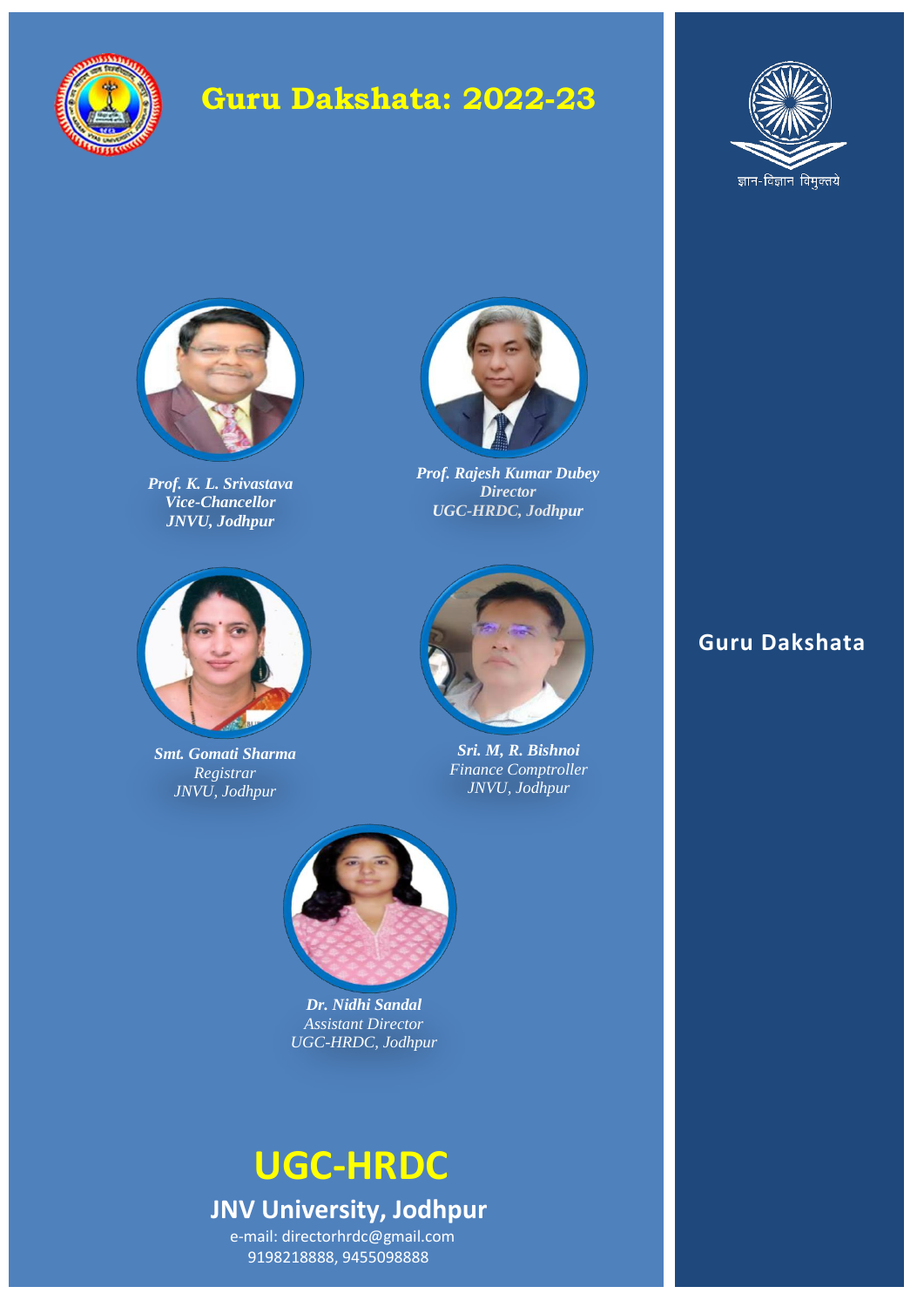

# **Guru Dakshata: 2022-23**





*Prof. K. L. Srivastava Vice-Chancellor JNVU, Jodhpur*



*Smt. Gomati Sharma Registrar JNVU, Jodhpur*



*Prof. Rajesh Kumar Dubey Director UGC-HRDC, Jodhpur*



*Sri. M, R. Bishnoi Finance Comptroller JNVU, Jodhpur*



*Dr. Nidhi Sandal Assistant Director UGC-HRDC, Jodhpur*

## **UGC-HRDC JNV University, Jodhpur** e-mail: directorhrdc@gmail.com 9198218888, 9455098888

## **Guru Dakshata**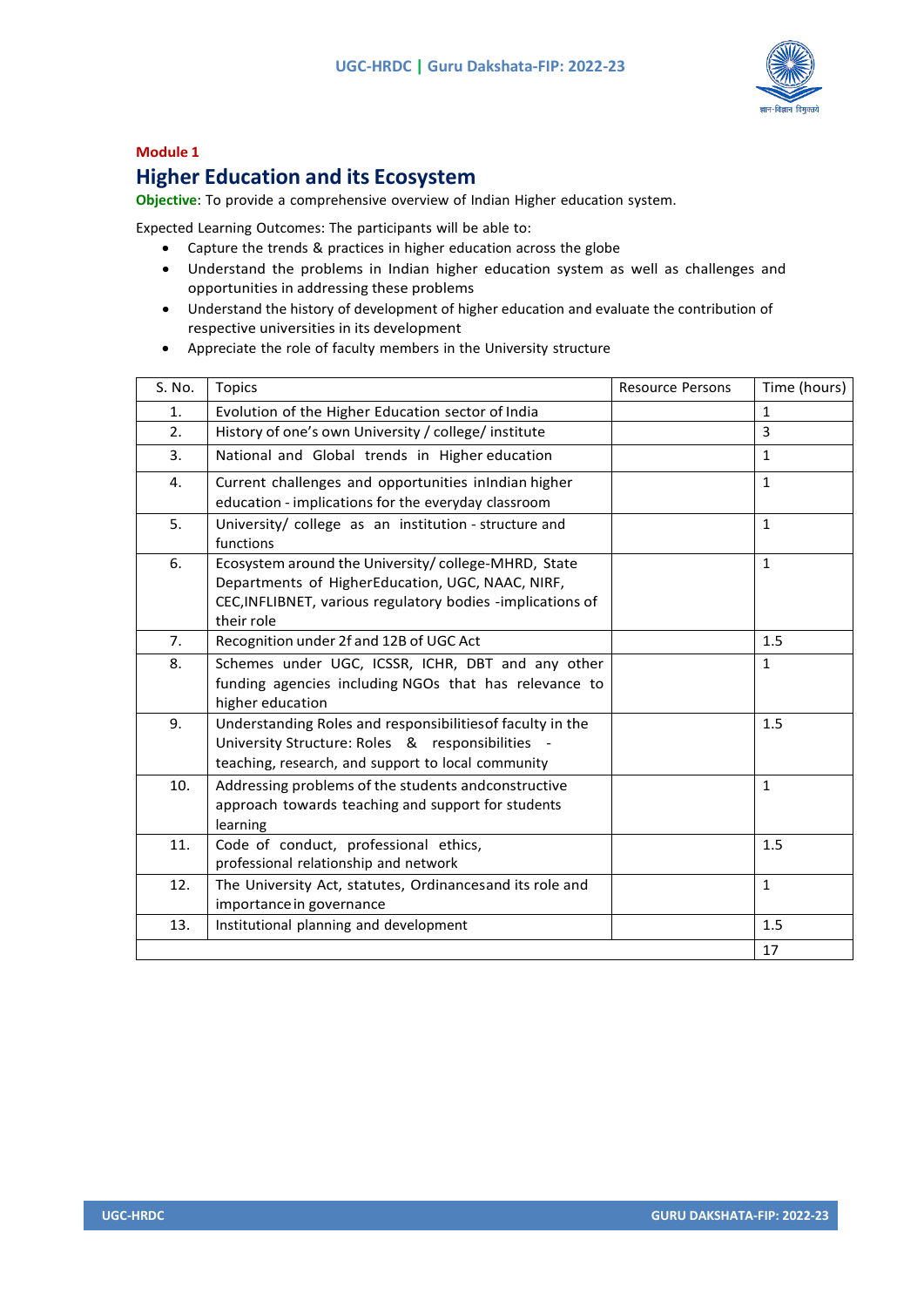

### **Module 1**

### **Higher Education and its Ecosystem**

**Objective**: To provide a comprehensive overview of Indian Higher education system.

Expected Learning Outcomes: The participants will be able to:

- Capture the trends & practices in higher education across the globe
- Understand the problems in Indian higher education system as well as challenges and opportunities in addressing these problems
- Understand the history of development of higher education and evaluate the contribution of respective universities in its development
- Appreciate the role of faculty members in the University structure

| S. No. | <b>Topics</b>                                                                                                                                                                       | <b>Resource Persons</b> | Time (hours) |
|--------|-------------------------------------------------------------------------------------------------------------------------------------------------------------------------------------|-------------------------|--------------|
| 1.     | Evolution of the Higher Education sector of India                                                                                                                                   |                         | $\mathbf{1}$ |
| 2.     | History of one's own University / college/ institute                                                                                                                                |                         | 3            |
| 3.     | National and Global trends in Higher education                                                                                                                                      |                         | $\mathbf{1}$ |
| 4.     | Current challenges and opportunities inIndian higher<br>education - implications for the everyday classroom                                                                         |                         | $\mathbf{1}$ |
| 5.     | University/ college as an institution - structure and<br>functions                                                                                                                  |                         | $\mathbf{1}$ |
| 6.     | Ecosystem around the University/college-MHRD, State<br>Departments of HigherEducation, UGC, NAAC, NIRF,<br>CEC, INFLIBNET, various regulatory bodies -implications of<br>their role |                         | $\mathbf{1}$ |
| 7.     | Recognition under 2f and 12B of UGC Act                                                                                                                                             |                         | 1.5          |
| 8.     | Schemes under UGC, ICSSR, ICHR, DBT and any other<br>funding agencies including NGOs that has relevance to<br>higher education                                                      |                         | $\mathbf{1}$ |
| 9.     | Understanding Roles and responsibilities of faculty in the<br>University Structure: Roles & responsibilities -<br>teaching, research, and support to local community                |                         | 1.5          |
| 10.    | Addressing problems of the students andconstructive<br>approach towards teaching and support for students<br>learning                                                               |                         | $\mathbf{1}$ |
| 11.    | Code of conduct, professional ethics,<br>professional relationship and network                                                                                                      |                         | 1.5          |
| 12.    | The University Act, statutes, Ordinancesand its role and<br>importance in governance                                                                                                |                         | $\mathbf{1}$ |
| 13.    | Institutional planning and development                                                                                                                                              |                         | 1.5          |
|        |                                                                                                                                                                                     |                         | 17           |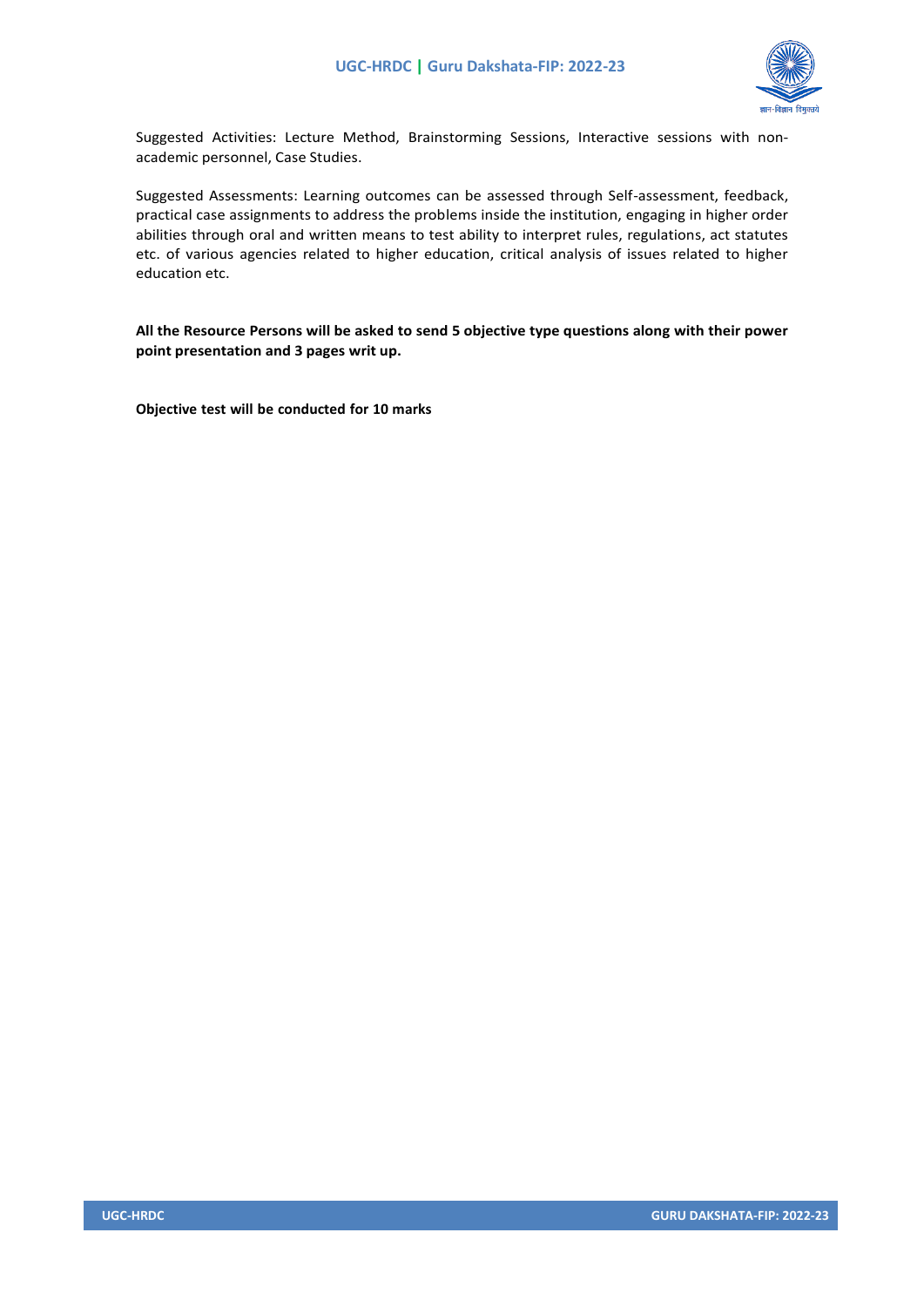

Suggested Activities: Lecture Method, Brainstorming Sessions, Interactive sessions with nonacademic personnel, Case Studies.

Suggested Assessments: Learning outcomes can be assessed through Self-assessment, feedback, practical case assignments to address the problems inside the institution, engaging in higher order abilities through oral and written means to test ability to interpret rules, regulations, act statutes etc. of various agencies related to higher education, critical analysis of issues related to higher education etc.

**All the Resource Persons will be asked to send 5 objective type questions along with their power point presentation and 3 pages writ up.**

**Objective test will be conducted for 10 marks**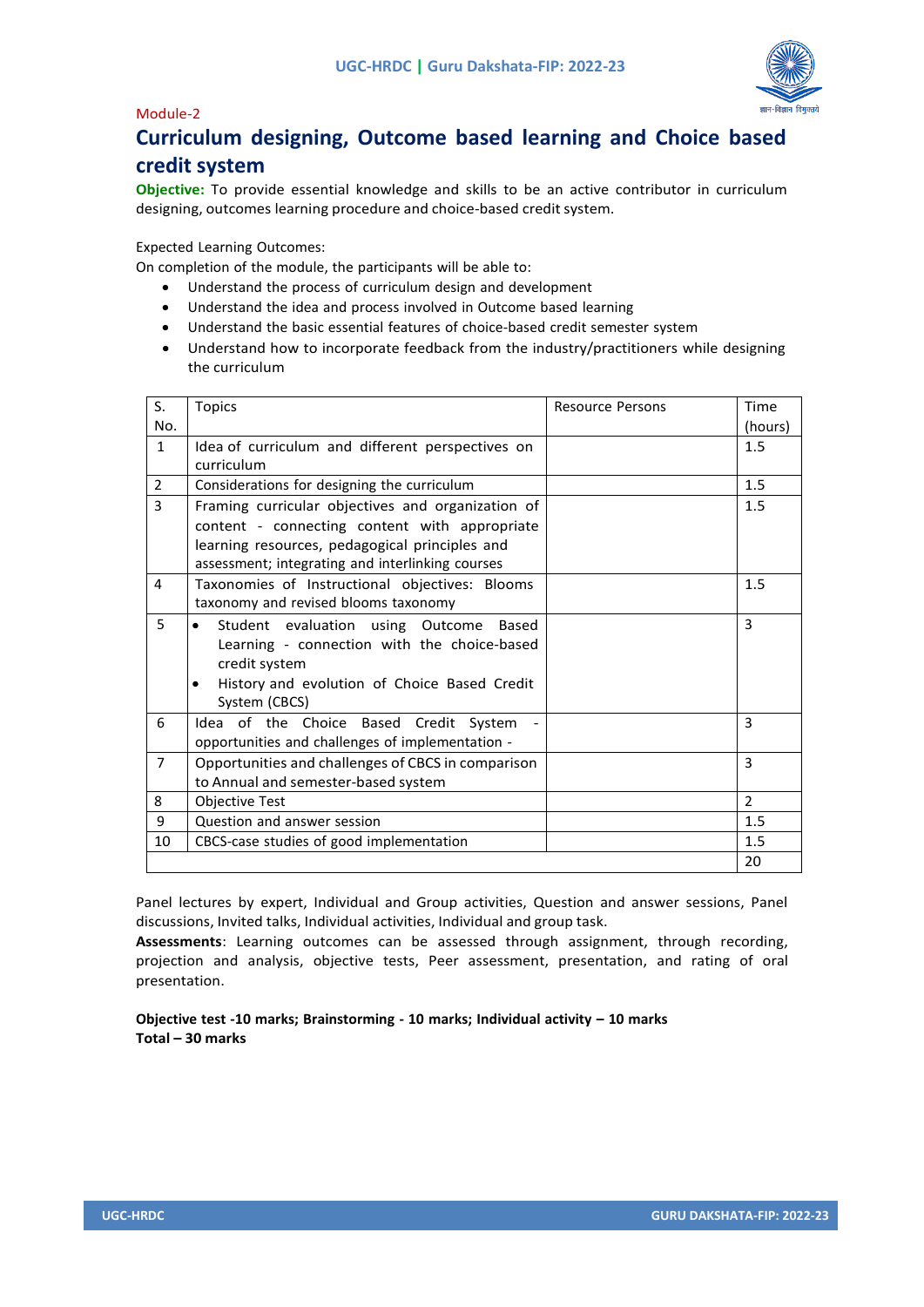### Module-2



### **Curriculum designing, Outcome based learning and Choice based credit system**

**Objective:** To provide essential knowledge and skills to be an active contributor in curriculum designing, outcomes learning procedure and choice-based credit system.

Expected Learning Outcomes:

On completion of the module, the participants will be able to:

- Understand the process of curriculum design and development
- Understand the idea and process involved in Outcome based learning
- Understand the basic essential features of choice-based credit semester system
- Understand how to incorporate feedback from the industry/practitioners while designing the curriculum

| S.             | <b>Topics</b>                                             | <b>Resource Persons</b> | Time          |
|----------------|-----------------------------------------------------------|-------------------------|---------------|
| No.            |                                                           |                         | (hours)       |
| $\mathbf{1}$   | Idea of curriculum and different perspectives on          |                         | 1.5           |
|                | curriculum                                                |                         |               |
| $\overline{2}$ | Considerations for designing the curriculum               |                         | 1.5           |
| 3              | Framing curricular objectives and organization of         |                         | 1.5           |
|                | content - connecting content with appropriate             |                         |               |
|                | learning resources, pedagogical principles and            |                         |               |
|                | assessment; integrating and interlinking courses          |                         |               |
| 4              | Taxonomies of Instructional objectives: Blooms            |                         | 1.5           |
|                | taxonomy and revised blooms taxonomy                      |                         |               |
| 5              | Student evaluation using Outcome<br>Based                 |                         | 3             |
|                | Learning - connection with the choice-based               |                         |               |
|                | credit system                                             |                         |               |
|                | History and evolution of Choice Based Credit<br>$\bullet$ |                         |               |
|                | System (CBCS)                                             |                         |               |
| 6              | Idea of the Choice Based Credit System                    |                         | 3             |
|                | opportunities and challenges of implementation -          |                         |               |
| $\overline{7}$ | Opportunities and challenges of CBCS in comparison        |                         | 3             |
|                | to Annual and semester-based system                       |                         |               |
| 8              | <b>Objective Test</b>                                     |                         | $\mathcal{P}$ |
| 9              | Question and answer session                               |                         | 1.5           |
| 10             | CBCS-case studies of good implementation                  |                         | 1.5           |
|                |                                                           |                         | 20            |

Panel lectures by expert, Individual and Group activities, Question and answer sessions, Panel discussions, Invited talks, Individual activities, Individual and group task.

**Assessments**: Learning outcomes can be assessed through assignment, through recording, projection and analysis, objective tests, Peer assessment, presentation, and rating of oral presentation.

**Objective test -10 marks; Brainstorming - 10 marks; Individual activity – 10 marks Total – 30 marks**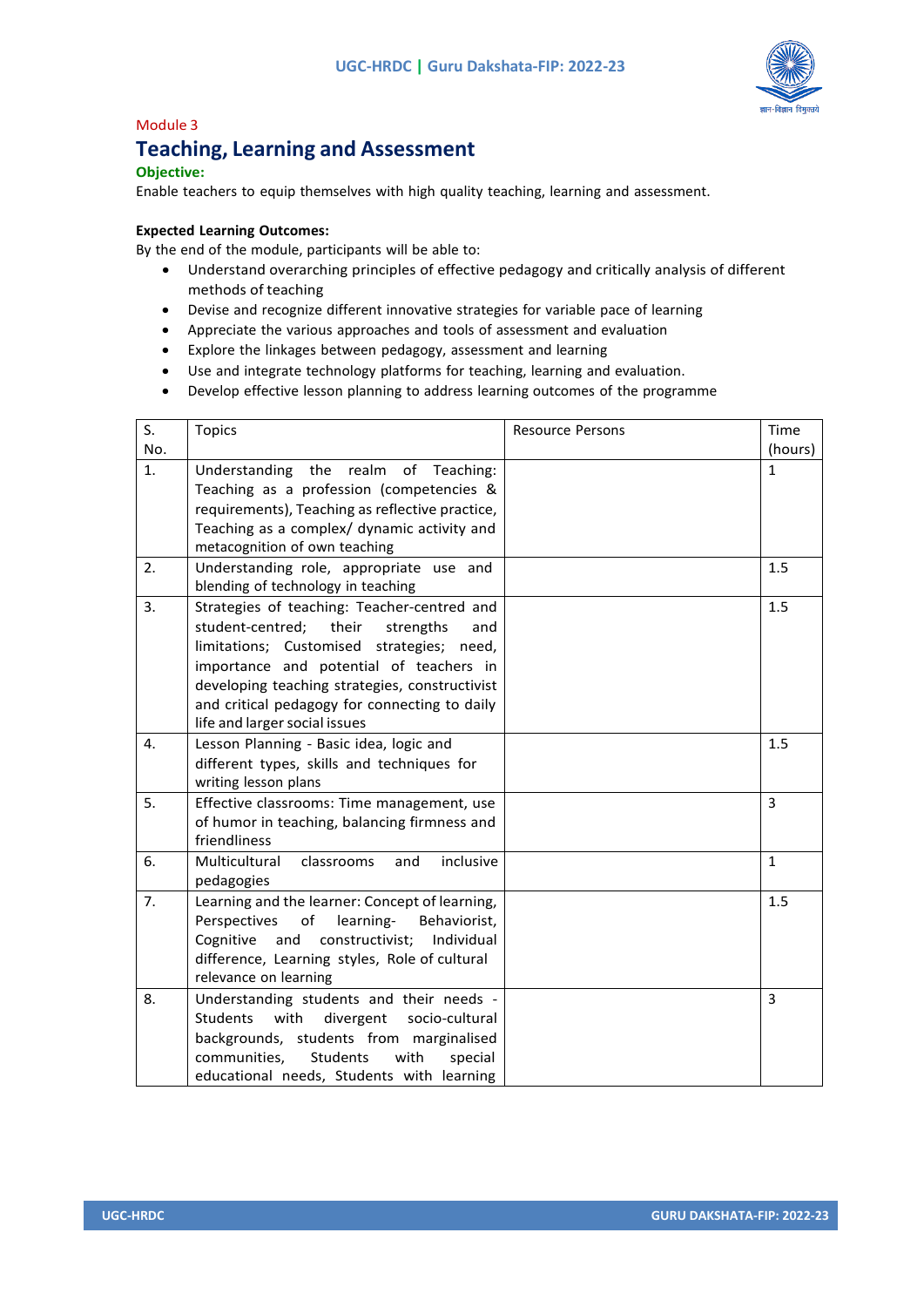

### Module 3

### **Teaching, Learning and Assessment**

### **Objective:**

Enable teachers to equip themselves with high quality teaching, learning and assessment.

### **Expected Learning Outcomes:**

By the end of the module, participants will be able to:

- Understand overarching principles of effective pedagogy and critically analysis of different methods of teaching
- Devise and recognize different innovative strategies for variable pace of learning
- Appreciate the various approaches and tools of assessment and evaluation
- Explore the linkages between pedagogy, assessment and learning
- Use and integrate technology platforms for teaching, learning and evaluation.
- Develop effective lesson planning to address learning outcomes of the programme

| S.<br>No. | <b>Topics</b>                                                                                                                                                                                                                                                                                                            | <b>Resource Persons</b> | Time<br>(hours) |
|-----------|--------------------------------------------------------------------------------------------------------------------------------------------------------------------------------------------------------------------------------------------------------------------------------------------------------------------------|-------------------------|-----------------|
| 1.        | Understanding the realm of Teaching:<br>Teaching as a profession (competencies &<br>requirements), Teaching as reflective practice,<br>Teaching as a complex/ dynamic activity and<br>metacognition of own teaching                                                                                                      |                         | $\mathbf{1}$    |
| 2.        | Understanding role, appropriate use and<br>blending of technology in teaching                                                                                                                                                                                                                                            |                         | 1.5             |
| 3.        | Strategies of teaching: Teacher-centred and<br>student-centred;<br>their<br>strengths<br>and<br>limitations; Customised strategies; need,<br>importance and potential of teachers in<br>developing teaching strategies, constructivist<br>and critical pedagogy for connecting to daily<br>life and larger social issues |                         | 1.5             |
| 4.        | Lesson Planning - Basic idea, logic and<br>different types, skills and techniques for<br>writing lesson plans                                                                                                                                                                                                            |                         | 1.5             |
| 5.        | Effective classrooms: Time management, use<br>of humor in teaching, balancing firmness and<br>friendliness                                                                                                                                                                                                               |                         | 3               |
| 6.        | Multicultural<br>inclusive<br>classrooms<br>and<br>pedagogies                                                                                                                                                                                                                                                            |                         | $\mathbf{1}$    |
| 7.        | Learning and the learner: Concept of learning,<br>Perspectives<br>of<br>learning-<br>Behaviorist,<br>Cognitive<br>constructivist;<br>Individual<br>and<br>difference, Learning styles, Role of cultural<br>relevance on learning                                                                                         |                         | 1.5             |
| 8.        | Understanding students and their needs -<br>Students<br>with<br>divergent<br>socio-cultural<br>backgrounds, students from marginalised<br><b>Students</b><br>communities,<br>with<br>special<br>educational needs, Students with learning                                                                                |                         | 3               |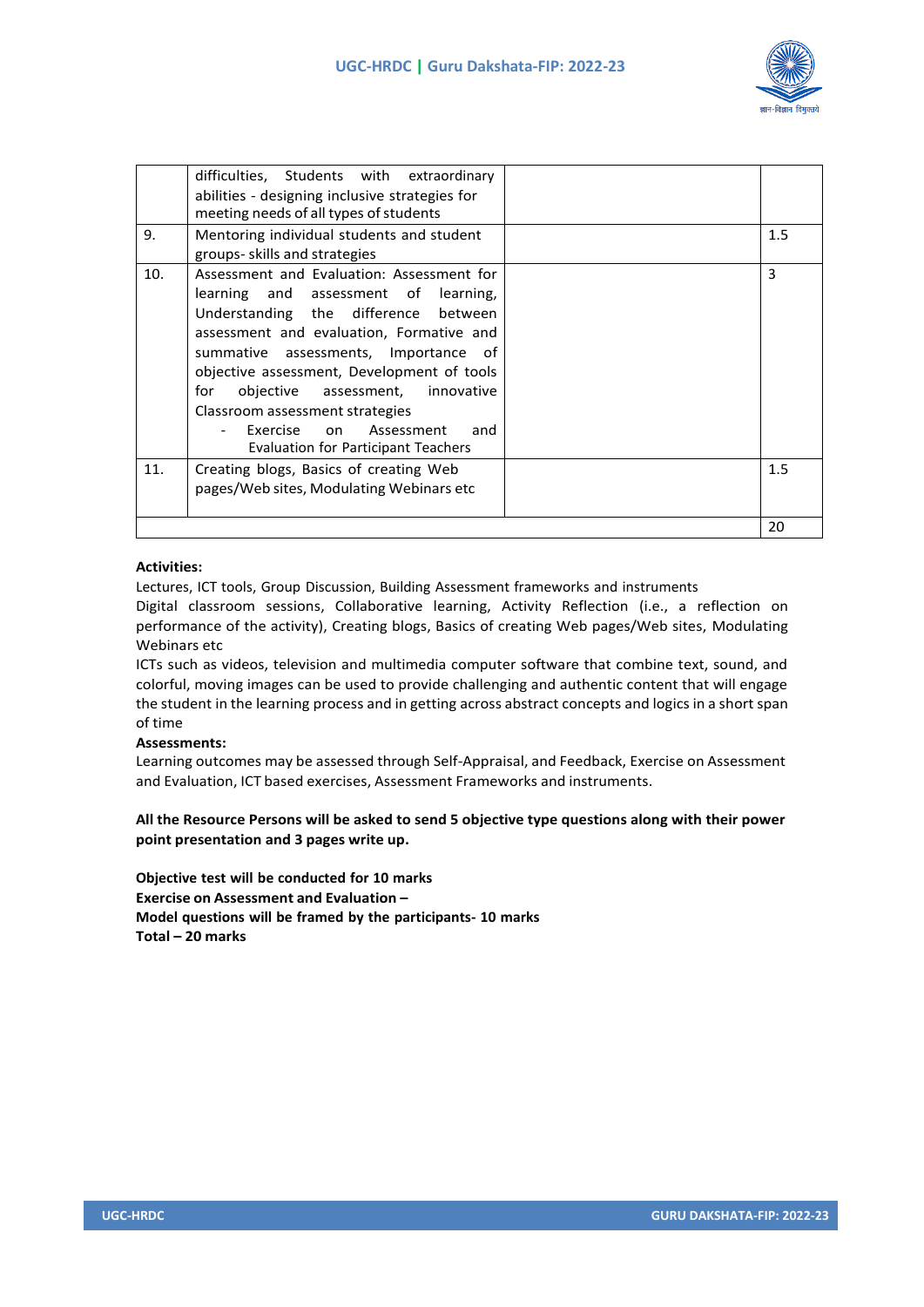

|     | difficulties, Students with extraordinary      |     |
|-----|------------------------------------------------|-----|
|     | abilities - designing inclusive strategies for |     |
|     | meeting needs of all types of students         |     |
| 9.  | Mentoring individual students and student      | 1.5 |
|     | groups- skills and strategies                  |     |
| 10. | Assessment and Evaluation: Assessment for      | 3   |
|     | learning and assessment of learning,           |     |
|     | Understanding the difference between           |     |
|     | assessment and evaluation, Formative and       |     |
|     | summative assessments, Importance of           |     |
|     | objective assessment, Development of tools     |     |
|     | for<br>objective assessment,<br>innovative     |     |
|     | Classroom assessment strategies                |     |
|     | Exercise on Assessment<br>and                  |     |
|     | Evaluation for Participant Teachers            |     |
| 11. | Creating blogs, Basics of creating Web         | 1.5 |
|     | pages/Web sites, Modulating Webinars etc       |     |
|     |                                                |     |
|     |                                                | 20  |

### **Activities:**

Lectures, ICT tools, Group Discussion, Building Assessment frameworks and instruments

Digital classroom sessions, Collaborative learning, Activity Reflection (i.e., a reflection on performance of the activity), Creating blogs, Basics of creating Web pages/Web sites, Modulating Webinars etc

ICTs such as videos, television and multimedia computer software that combine text, sound, and colorful, moving images can be used to provide challenging and authentic content that will engage the student in the learning process and in getting across abstract concepts and logics in a short span of time

### **Assessments:**

Learning outcomes may be assessed through Self-Appraisal, and Feedback, Exercise on Assessment and Evaluation, ICT based exercises, Assessment Frameworks and instruments.

### **All the Resource Persons will be asked to send 5 objective type questions along with their power point presentation and 3 pages write up.**

**Objective test will be conducted for 10 marks Exercise on Assessment and Evaluation – Model questions will be framed by the participants- 10 marks Total – 20 marks**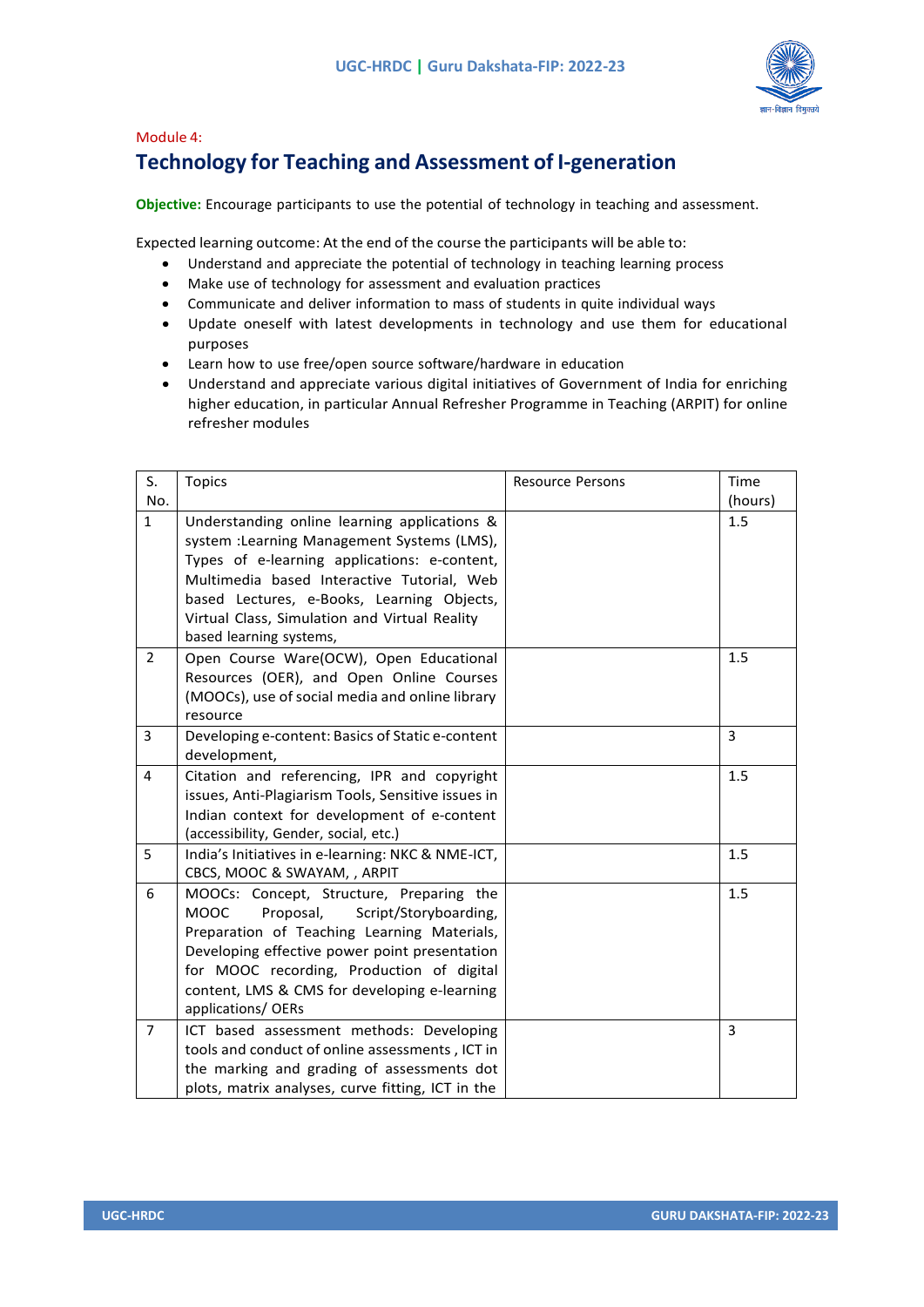

### Module 4: **Technology for Teaching and Assessment of I-generation**

**Objective:** Encourage participants to use the potential of technology in teaching and assessment.

Expected learning outcome: At the end of the course the participants will be able to:

- Understand and appreciate the potential of technology in teaching learning process
- Make use of technology for assessment and evaluation practices
- Communicate and deliver information to mass of students in quite individual ways
- Update oneself with latest developments in technology and use them for educational purposes
- Learn how to use free/open source software/hardware in education
- Understand and appreciate various digital initiatives of Government of India for enriching higher education, in particular Annual Refresher Programme in Teaching (ARPIT) for online refresher modules

| S.             | <b>Topics</b>                                                                                                                                                                                                                                                                                                       | <b>Resource Persons</b> | Time    |
|----------------|---------------------------------------------------------------------------------------------------------------------------------------------------------------------------------------------------------------------------------------------------------------------------------------------------------------------|-------------------------|---------|
| No.            |                                                                                                                                                                                                                                                                                                                     |                         | (hours) |
| $\mathbf{1}$   | Understanding online learning applications &<br>system : Learning Management Systems (LMS),<br>Types of e-learning applications: e-content,<br>Multimedia based Interactive Tutorial, Web<br>based Lectures, e-Books, Learning Objects,<br>Virtual Class, Simulation and Virtual Reality<br>based learning systems, |                         | 1.5     |
| $\overline{2}$ | Open Course Ware(OCW), Open Educational<br>Resources (OER), and Open Online Courses<br>(MOOCs), use of social media and online library<br>resource                                                                                                                                                                  |                         | 1.5     |
| 3              | Developing e-content: Basics of Static e-content<br>development,                                                                                                                                                                                                                                                    |                         | 3       |
| $\overline{4}$ | Citation and referencing, IPR and copyright<br>issues, Anti-Plagiarism Tools, Sensitive issues in<br>Indian context for development of e-content<br>(accessibility, Gender, social, etc.)                                                                                                                           |                         | 1.5     |
| 5              | India's Initiatives in e-learning: NKC & NME-ICT,<br>CBCS, MOOC & SWAYAM, , ARPIT                                                                                                                                                                                                                                   |                         | 1.5     |
| 6              | MOOCs: Concept, Structure, Preparing the<br><b>MOOC</b><br>Proposal,<br>Script/Storyboarding,<br>Preparation of Teaching Learning Materials,<br>Developing effective power point presentation<br>for MOOC recording, Production of digital<br>content, LMS & CMS for developing e-learning<br>applications/ OERs    |                         | 1.5     |
| $\overline{7}$ | ICT based assessment methods: Developing<br>tools and conduct of online assessments, ICT in<br>the marking and grading of assessments dot<br>plots, matrix analyses, curve fitting, ICT in the                                                                                                                      |                         | 3       |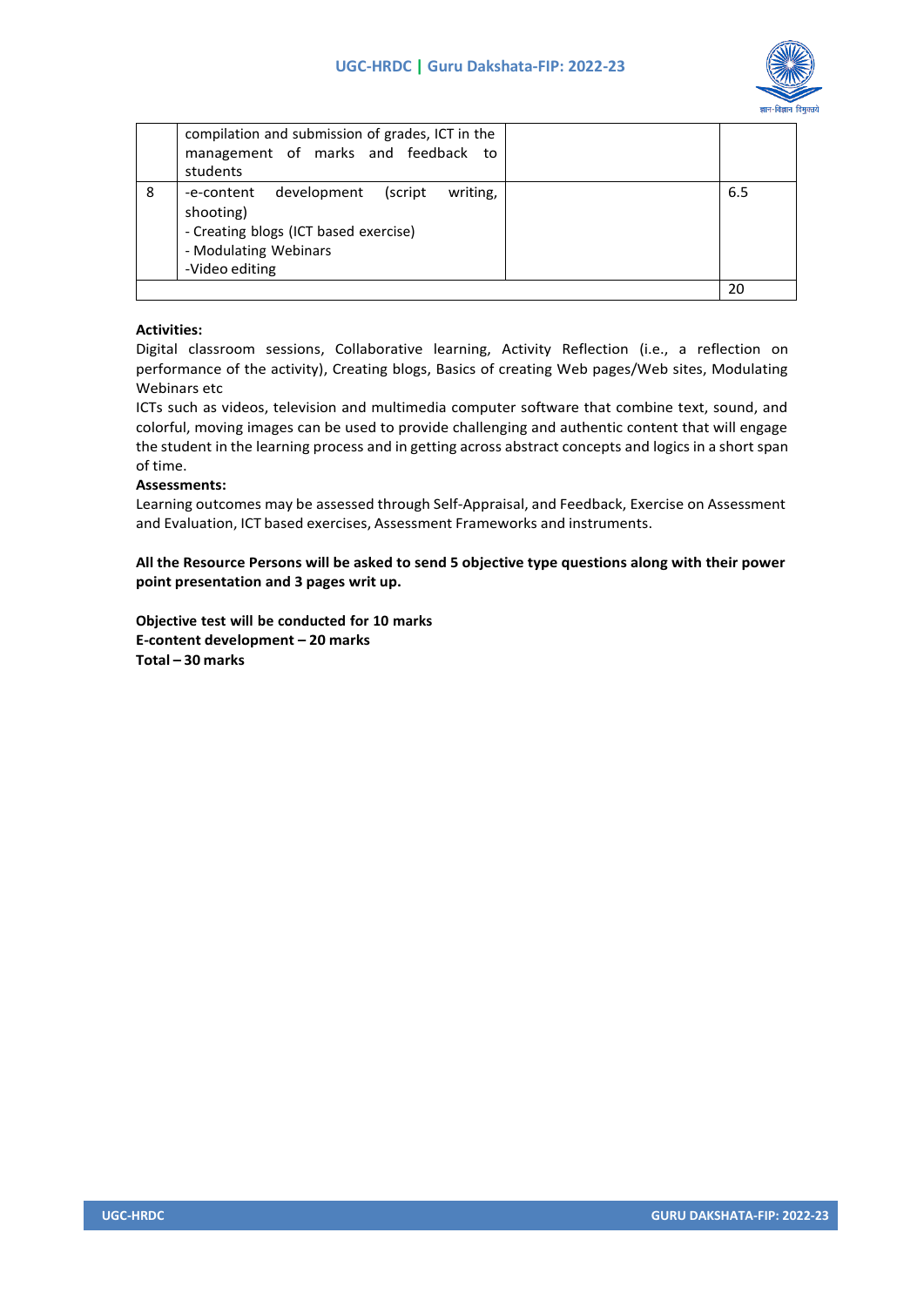

|   | compilation and submission of grades, ICT in the<br>management of marks and feedback to<br>students                                            |     |
|---|------------------------------------------------------------------------------------------------------------------------------------------------|-----|
| 8 | development (script<br>writing,<br>-e-content<br>shooting)<br>- Creating blogs (ICT based exercise)<br>- Modulating Webinars<br>-Video editing | 6.5 |
|   |                                                                                                                                                | 20  |

### **Activities:**

Digital classroom sessions, Collaborative learning, Activity Reflection (i.e., a reflection on performance of the activity), Creating blogs, Basics of creating Web pages/Web sites, Modulating Webinars etc

ICTs such as videos, television and multimedia computer software that combine text, sound, and colorful, moving images can be used to provide challenging and authentic content that will engage the student in the learning process and in getting across abstract concepts and logics in a short span of time.

### **Assessments:**

Learning outcomes may be assessed through Self-Appraisal, and Feedback, Exercise on Assessment and Evaluation, ICT based exercises, Assessment Frameworks and instruments.

**All the Resource Persons will be asked to send 5 objective type questions along with their power point presentation and 3 pages writ up.**

**Objective test will be conducted for 10 marks E-content development – 20 marks Total – 30 marks**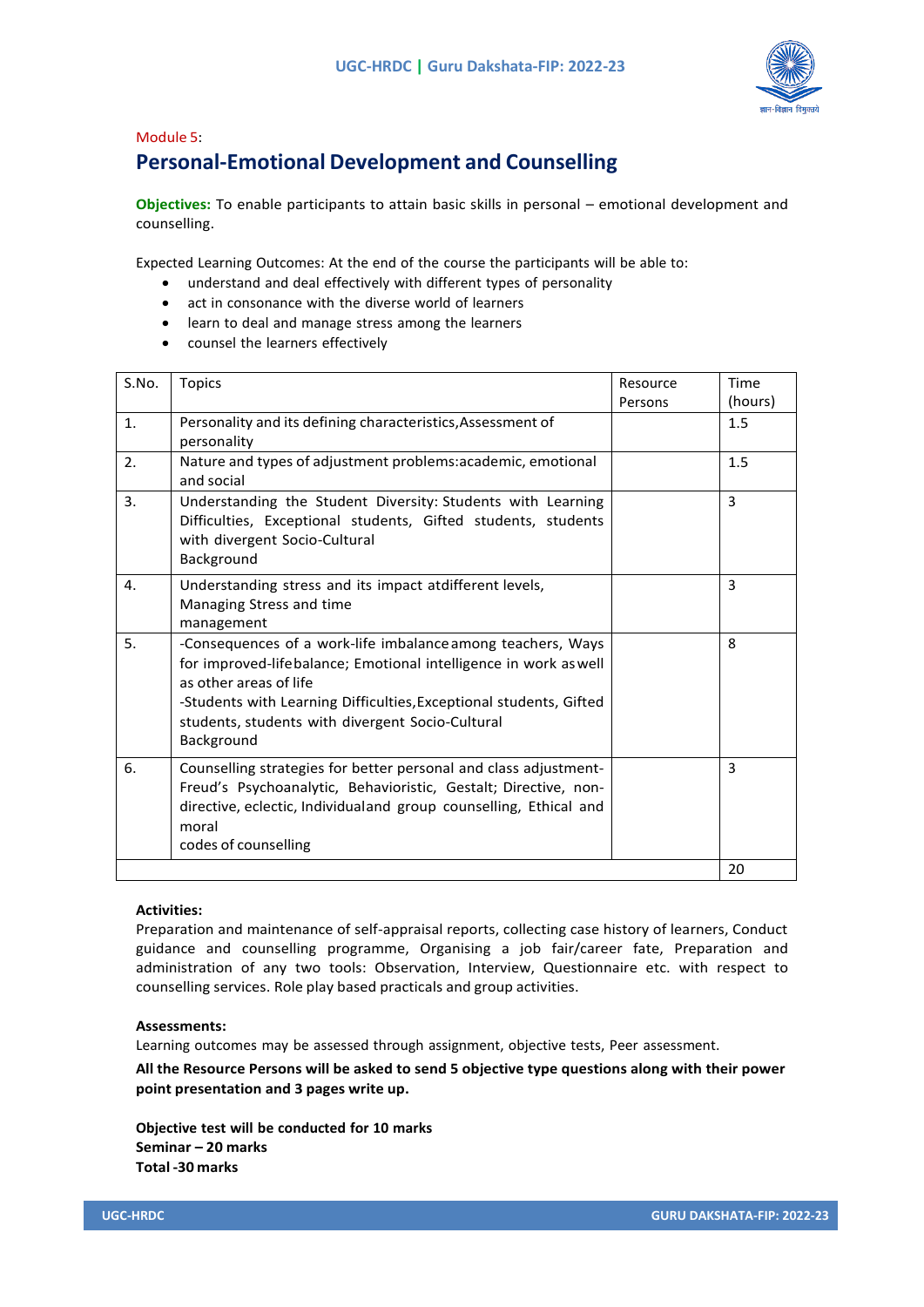

### Module 5: **Personal-Emotional Development and Counselling**

**Objectives:** To enable participants to attain basic skills in personal – emotional development and counselling.

Expected Learning Outcomes: At the end of the course the participants will be able to:

- understand and deal effectively with different types of personality
- act in consonance with the diverse world of learners
- learn to deal and manage stress among the learners
- counsel the learners effectively

| S.No. | <b>Topics</b>                                                                                                                                                                                                                                                                                     | Resource<br>Persons | Time<br>(hours) |
|-------|---------------------------------------------------------------------------------------------------------------------------------------------------------------------------------------------------------------------------------------------------------------------------------------------------|---------------------|-----------------|
| 1.    | Personality and its defining characteristics, Assessment of<br>personality                                                                                                                                                                                                                        |                     | 1.5             |
| 2.    | Nature and types of adjustment problems: academic, emotional<br>and social                                                                                                                                                                                                                        |                     | 1.5             |
| 3.    | Understanding the Student Diversity: Students with Learning<br>Difficulties, Exceptional students, Gifted students, students<br>with divergent Socio-Cultural<br>Background                                                                                                                       |                     | 3               |
| 4.    | Understanding stress and its impact atdifferent levels,<br>Managing Stress and time<br>management                                                                                                                                                                                                 |                     | 3               |
| 5.    | -Consequences of a work-life imbalance among teachers, Ways<br>for improved-lifebalance; Emotional intelligence in work as well<br>as other areas of life<br>-Students with Learning Difficulties, Exceptional students, Gifted<br>students, students with divergent Socio-Cultural<br>Background |                     | 8               |
| 6.    | Counselling strategies for better personal and class adjustment-<br>Freud's Psychoanalytic, Behavioristic, Gestalt; Directive, non-<br>directive, eclectic, Individualand group counselling, Ethical and<br>moral<br>codes of counselling                                                         |                     | 3               |
|       |                                                                                                                                                                                                                                                                                                   |                     | 20              |

#### **Activities:**

Preparation and maintenance of self-appraisal reports, collecting case history of learners, Conduct guidance and counselling programme, Organising a job fair/career fate, Preparation and administration of any two tools: Observation, Interview, Questionnaire etc. with respect to counselling services. Role play based practicals and group activities.

### **Assessments:**

Learning outcomes may be assessed through assignment, objective tests, Peer assessment.

**All the Resource Persons will be asked to send 5 objective type questions along with their power point presentation and 3 pages write up.**

**Objective test will be conducted for 10 marks Seminar – 20 marks Total -30 marks**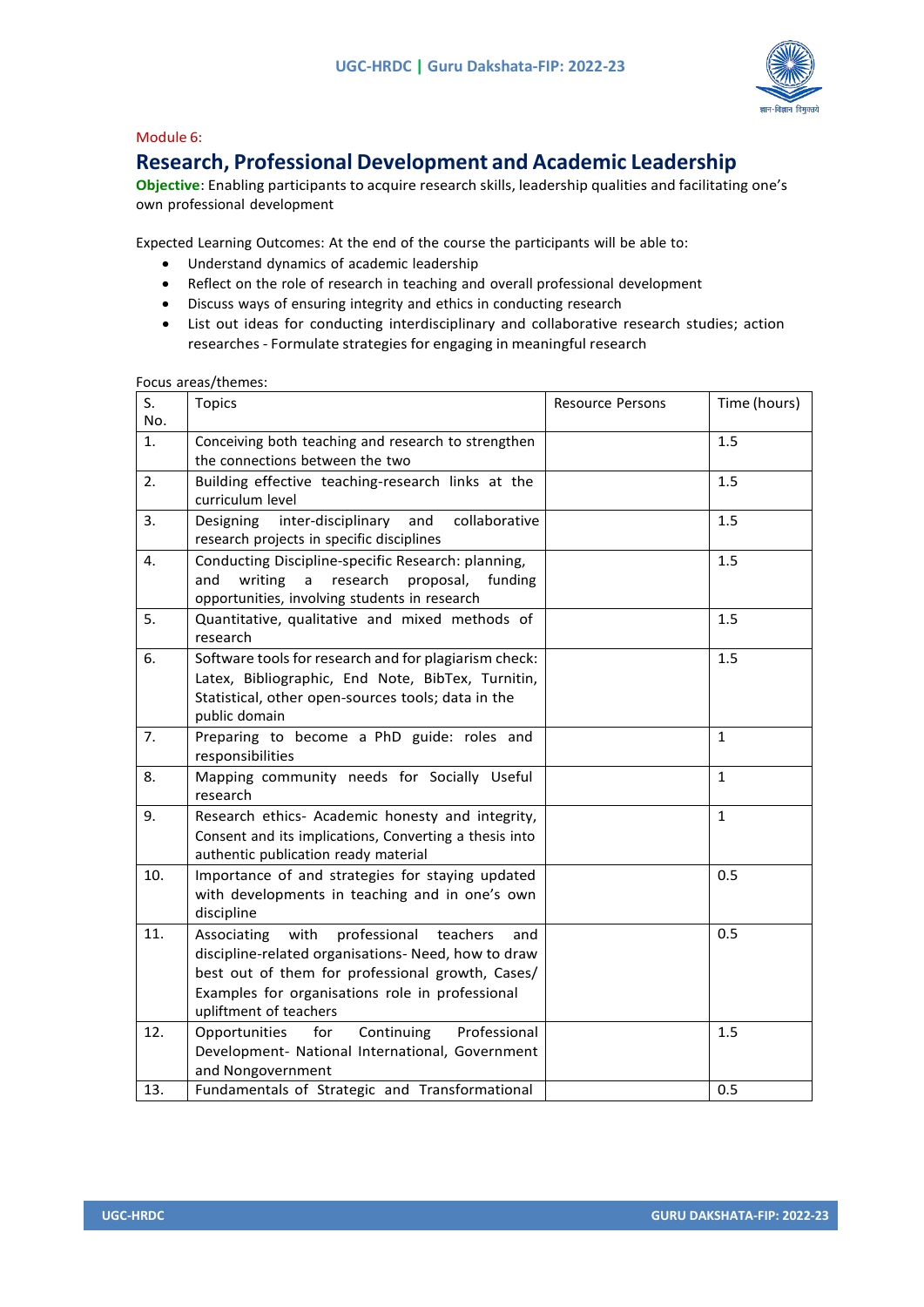

### Module 6:

### **Research, Professional Development and Academic Leadership**

**Objective**: Enabling participants to acquire research skills, leadership qualities and facilitating one's own professional development

Expected Learning Outcomes: At the end of the course the participants will be able to:

- Understand dynamics of academic leadership
- Reflect on the role of research in teaching and overall professional development
- Discuss ways of ensuring integrity and ethics in conducting research
- List out ideas for conducting interdisciplinary and collaborative research studies; action researches - Formulate strategies for engaging in meaningful research

| S.  | <b>Topics</b>                                                                                                                                                                                                                               | <b>Resource Persons</b> | Time (hours) |
|-----|---------------------------------------------------------------------------------------------------------------------------------------------------------------------------------------------------------------------------------------------|-------------------------|--------------|
| No. |                                                                                                                                                                                                                                             |                         |              |
| 1.  | Conceiving both teaching and research to strengthen<br>the connections between the two                                                                                                                                                      |                         | 1.5          |
| 2.  | Building effective teaching-research links at the<br>curriculum level                                                                                                                                                                       |                         | 1.5          |
| 3.  | inter-disciplinary<br>and<br>collaborative<br><b>Designing</b><br>research projects in specific disciplines                                                                                                                                 |                         | 1.5          |
| 4.  | Conducting Discipline-specific Research: planning,<br>research<br>writing<br>$\mathsf{a}$<br>proposal,<br>and<br>funding<br>opportunities, involving students in research                                                                   |                         | 1.5          |
| 5.  | Quantitative, qualitative and mixed methods of<br>research                                                                                                                                                                                  |                         | 1.5          |
| 6.  | Software tools for research and for plagiarism check:<br>Latex, Bibliographic, End Note, BibTex, Turnitin,<br>Statistical, other open-sources tools; data in the<br>public domain                                                           |                         | 1.5          |
| 7.  | Preparing to become a PhD guide: roles and<br>responsibilities                                                                                                                                                                              |                         | $\mathbf{1}$ |
| 8.  | Mapping community needs for Socially Useful<br>research                                                                                                                                                                                     |                         | $\mathbf{1}$ |
| 9.  | Research ethics- Academic honesty and integrity,<br>Consent and its implications, Converting a thesis into<br>authentic publication ready material                                                                                          |                         | $\mathbf{1}$ |
| 10. | Importance of and strategies for staying updated<br>with developments in teaching and in one's own<br>discipline                                                                                                                            |                         | 0.5          |
| 11. | professional teachers<br>with<br>Associating<br>and<br>discipline-related organisations- Need, how to draw<br>best out of them for professional growth, Cases/<br>Examples for organisations role in professional<br>upliftment of teachers |                         | 0.5          |
| 12. | Continuing<br>Professional<br>Opportunities<br>for<br>Development- National International, Government<br>and Nongovernment                                                                                                                  |                         | 1.5          |
| 13. | Fundamentals of Strategic and Transformational                                                                                                                                                                                              |                         | 0.5          |

Focus areas/themes: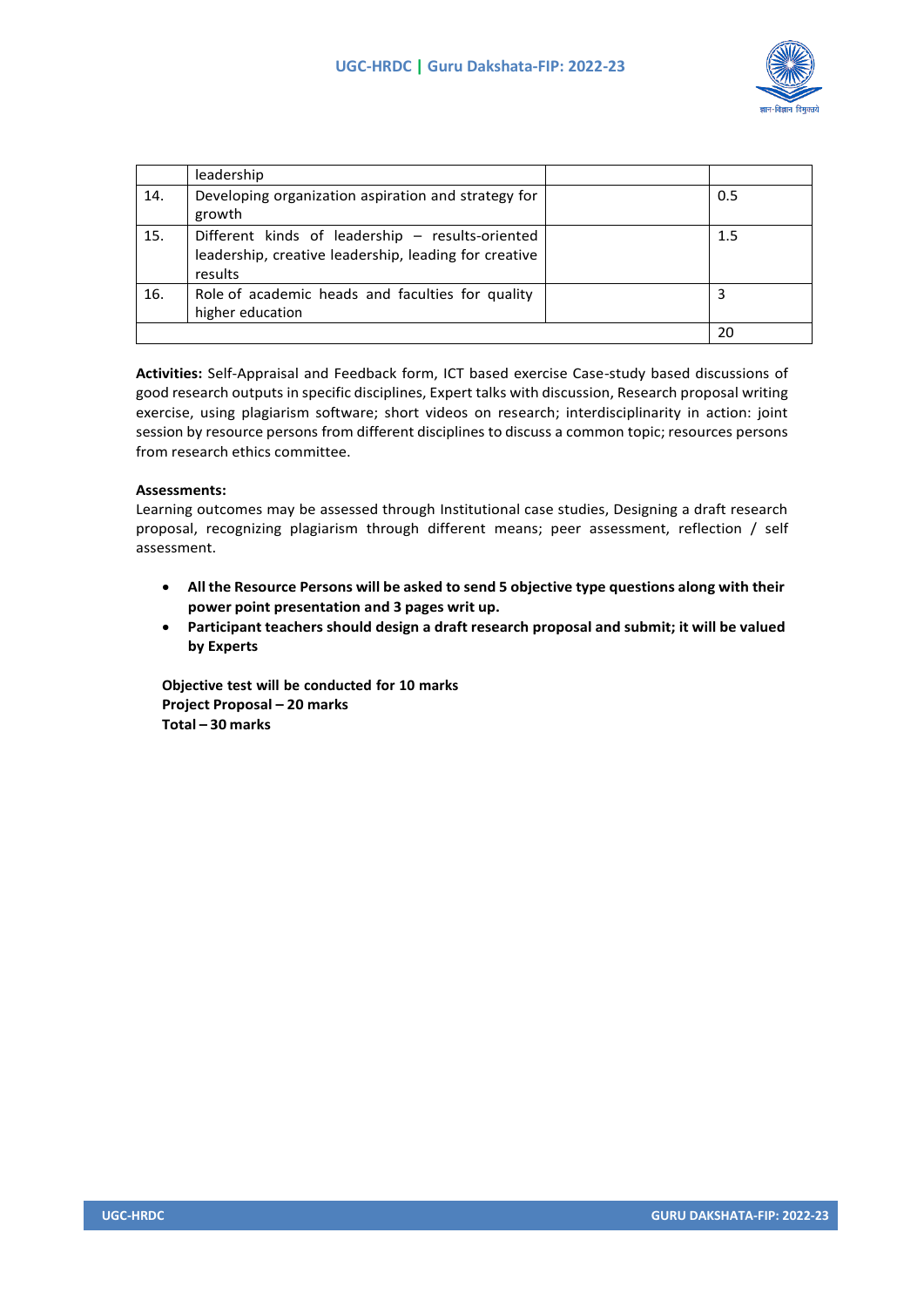

|     | leadership                                                                                                           |     |
|-----|----------------------------------------------------------------------------------------------------------------------|-----|
| 14. | Developing organization aspiration and strategy for<br>growth                                                        | 0.5 |
| 15. | Different kinds of leadership - results-oriented<br>leadership, creative leadership, leading for creative<br>results | 1.5 |
| 16. | Role of academic heads and faculties for quality<br>higher education                                                 | 3   |
|     |                                                                                                                      | 20  |

**Activities:** Self-Appraisal and Feedback form, ICT based exercise Case-study based discussions of good research outputs in specific disciplines, Expert talks with discussion, Research proposal writing exercise, using plagiarism software; short videos on research; interdisciplinarity in action: joint session by resource persons from different disciplines to discuss a common topic; resources persons from research ethics committee.

### **Assessments:**

Learning outcomes may be assessed through Institutional case studies, Designing a draft research proposal, recognizing plagiarism through different means; peer assessment, reflection / self assessment.

- **All the Resource Persons will be asked to send 5 objective type questions along with their power point presentation and 3 pages writ up.**
- **Participant teachers should design a draft research proposal and submit; it will be valued by Experts**

**Objective test will be conducted for 10 marks Project Proposal – 20 marks Total – 30 marks**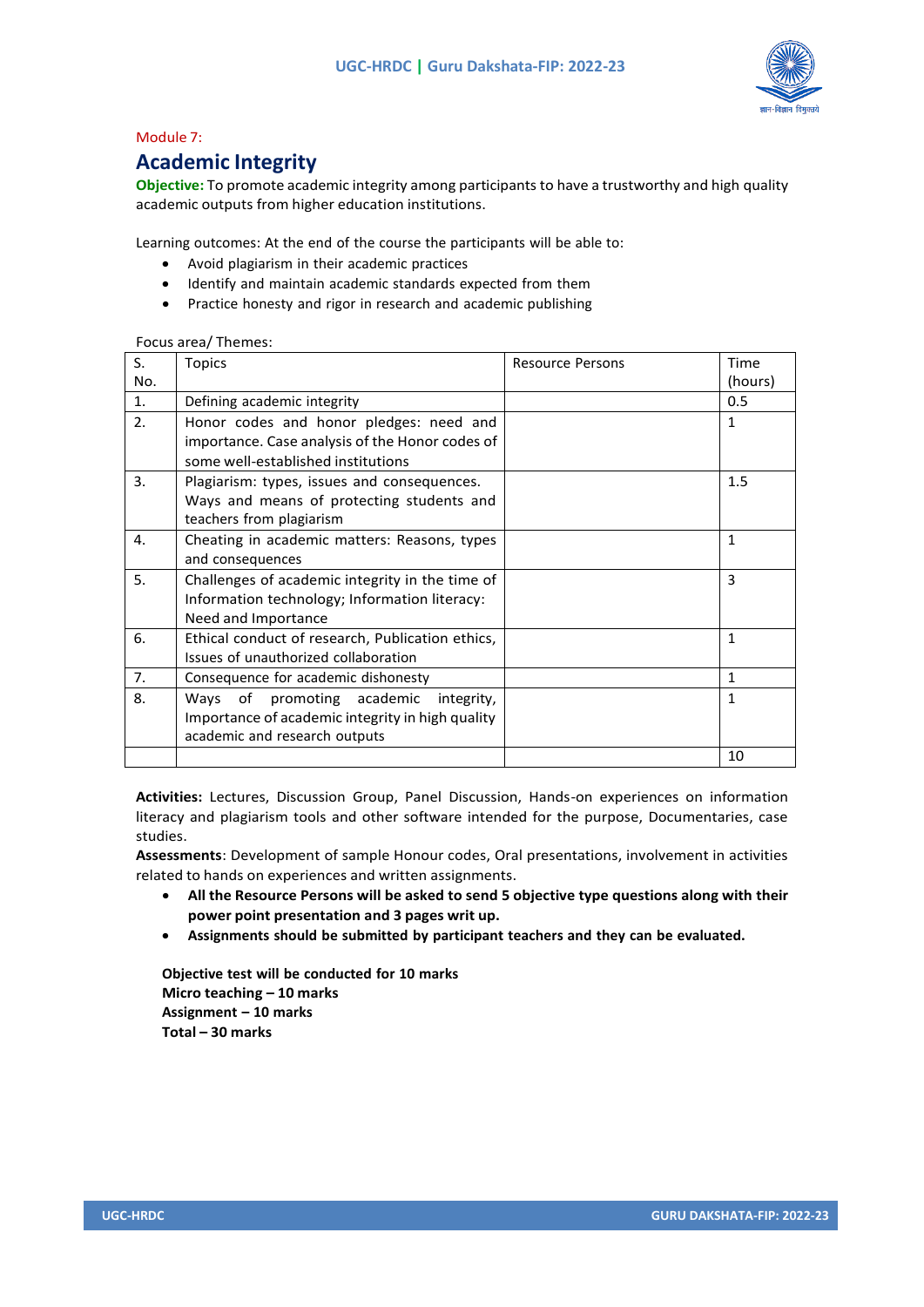

### Module 7:

### **Academic Integrity**

**Objective:** To promote academic integrity among participants to have a trustworthy and high quality academic outputs from higher education institutions.

Learning outcomes: At the end of the course the participants will be able to:

- Avoid plagiarism in their academic practices
- Identify and maintain academic standards expected from them
- Practice honesty and rigor in research and academic publishing

| S.             | <b>Topics</b>                                    | <b>Resource Persons</b> | Time         |
|----------------|--------------------------------------------------|-------------------------|--------------|
|                |                                                  |                         |              |
| No.            |                                                  |                         | (hours)      |
| $\mathbf{1}$ . | Defining academic integrity                      |                         | 0.5          |
| 2.             | Honor codes and honor pledges: need and          |                         | 1            |
|                | importance. Case analysis of the Honor codes of  |                         |              |
|                | some well-established institutions               |                         |              |
| 3.             | Plagiarism: types, issues and consequences.      |                         | 1.5          |
|                | Ways and means of protecting students and        |                         |              |
|                | teachers from plagiarism                         |                         |              |
| 4.             | Cheating in academic matters: Reasons, types     |                         | $\mathbf{1}$ |
|                | and consequences                                 |                         |              |
| 5.             | Challenges of academic integrity in the time of  |                         | 3            |
|                | Information technology; Information literacy:    |                         |              |
|                | Need and Importance                              |                         |              |
| 6.             | Ethical conduct of research, Publication ethics, |                         | $\mathbf{1}$ |
|                | Issues of unauthorized collaboration             |                         |              |
| 7.             | Consequence for academic dishonesty              |                         | 1            |
| 8.             | Ways of promoting academic<br>integrity,         |                         | 1            |
|                | Importance of academic integrity in high quality |                         |              |
|                | academic and research outputs                    |                         |              |
|                |                                                  |                         | 10           |

#### Focus area/ Themes:

**Activities:** Lectures, Discussion Group, Panel Discussion, Hands-on experiences on information literacy and plagiarism tools and other software intended for the purpose, Documentaries, case studies.

**Assessments**: Development of sample Honour codes, Oral presentations, involvement in activities related to hands on experiences and written assignments.

- **All the Resource Persons will be asked to send 5 objective type questions along with their power point presentation and 3 pages writ up.**
- **Assignments should be submitted by participant teachers and they can be evaluated.**

**Objective test will be conducted for 10 marks Micro teaching – 10 marks Assignment – 10 marks Total – 30 marks**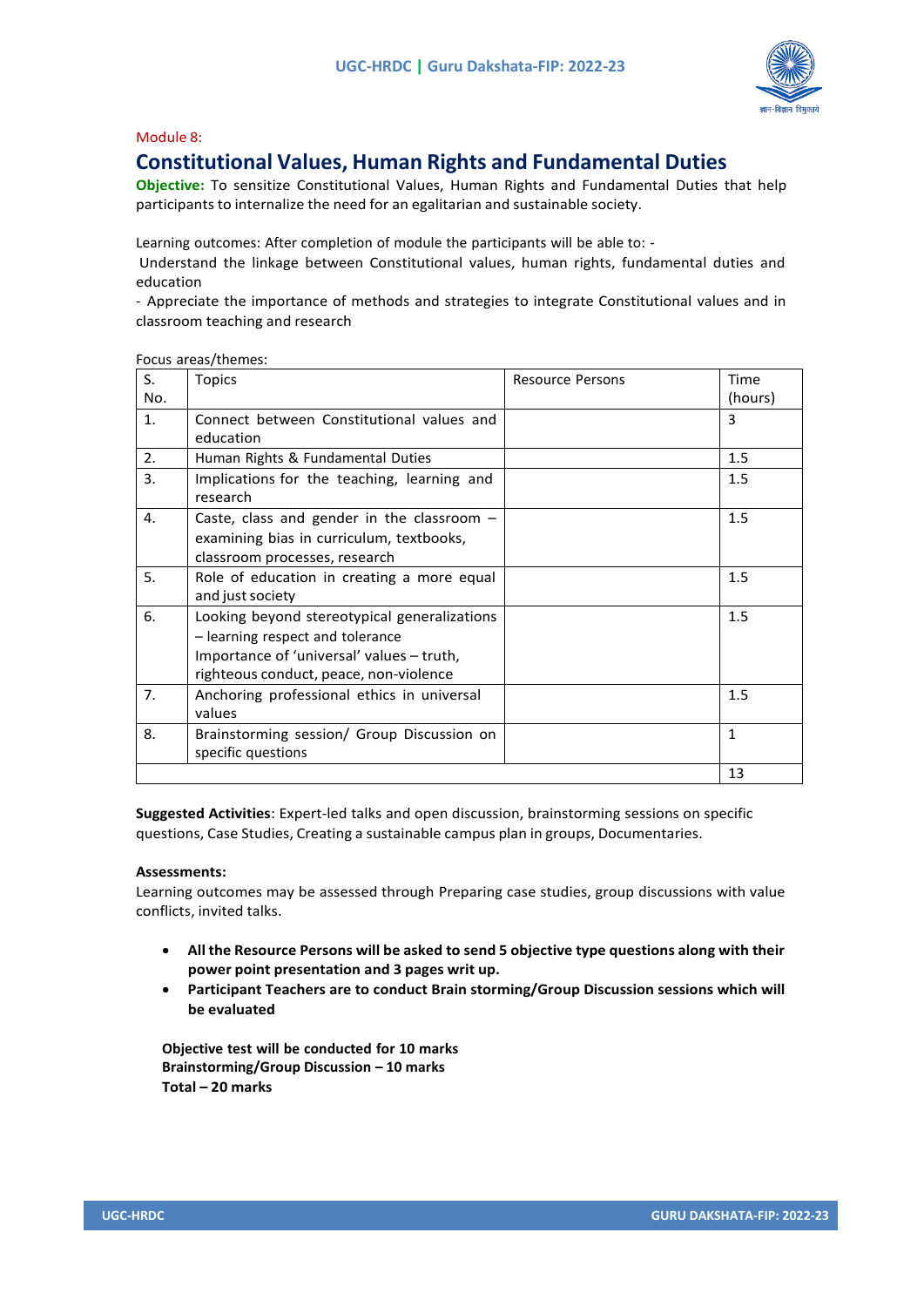

### Module 8:

### **Constitutional Values, Human Rights and Fundamental Duties**

**Objective:** To sensitize Constitutional Values, Human Rights and Fundamental Duties that help participants to internalize the need for an egalitarian and sustainable society.

Learning outcomes: After completion of module the participants will be able to: -

Understand the linkage between Constitutional values, human rights, fundamental duties and education

- Appreciate the importance of methods and strategies to integrate Constitutional values and in classroom teaching and research

| S.  | <b>Topics</b>                                                                                                                                                           | <b>Resource Persons</b> | Time         |
|-----|-------------------------------------------------------------------------------------------------------------------------------------------------------------------------|-------------------------|--------------|
| No. |                                                                                                                                                                         |                         | (hours)      |
| 1.  | Connect between Constitutional values and<br>education                                                                                                                  |                         | 3            |
| 2.  | Human Rights & Fundamental Duties                                                                                                                                       |                         | 1.5          |
| 3.  | Implications for the teaching, learning and<br>research                                                                                                                 |                         | 1.5          |
| 4.  | Caste, class and gender in the classroom $-$<br>examining bias in curriculum, textbooks,<br>classroom processes, research                                               |                         | 1.5          |
| 5.  | Role of education in creating a more equal<br>and just society                                                                                                          |                         | 1.5          |
| 6.  | Looking beyond stereotypical generalizations<br>- learning respect and tolerance<br>Importance of 'universal' values - truth,<br>righteous conduct, peace, non-violence |                         | 1.5          |
| 7.  | Anchoring professional ethics in universal<br>values                                                                                                                    |                         | 1.5          |
| 8.  | Brainstorming session/ Group Discussion on<br>specific questions                                                                                                        |                         | $\mathbf{1}$ |
|     |                                                                                                                                                                         |                         | 13           |

Focus areas/themes:

**Suggested Activities**: Expert-led talks and open discussion, brainstorming sessions on specific questions, Case Studies, Creating a sustainable campus plan in groups, Documentaries.

### **Assessments:**

Learning outcomes may be assessed through Preparing case studies, group discussions with value conflicts, invited talks.

- **All the Resource Persons will be asked to send 5 objective type questions along with their power point presentation and 3 pages writ up.**
- **Participant Teachers are to conduct Brain storming/Group Discussion sessions which will be evaluated**

**Objective test will be conducted for 10 marks Brainstorming/Group Discussion – 10 marks Total – 20 marks**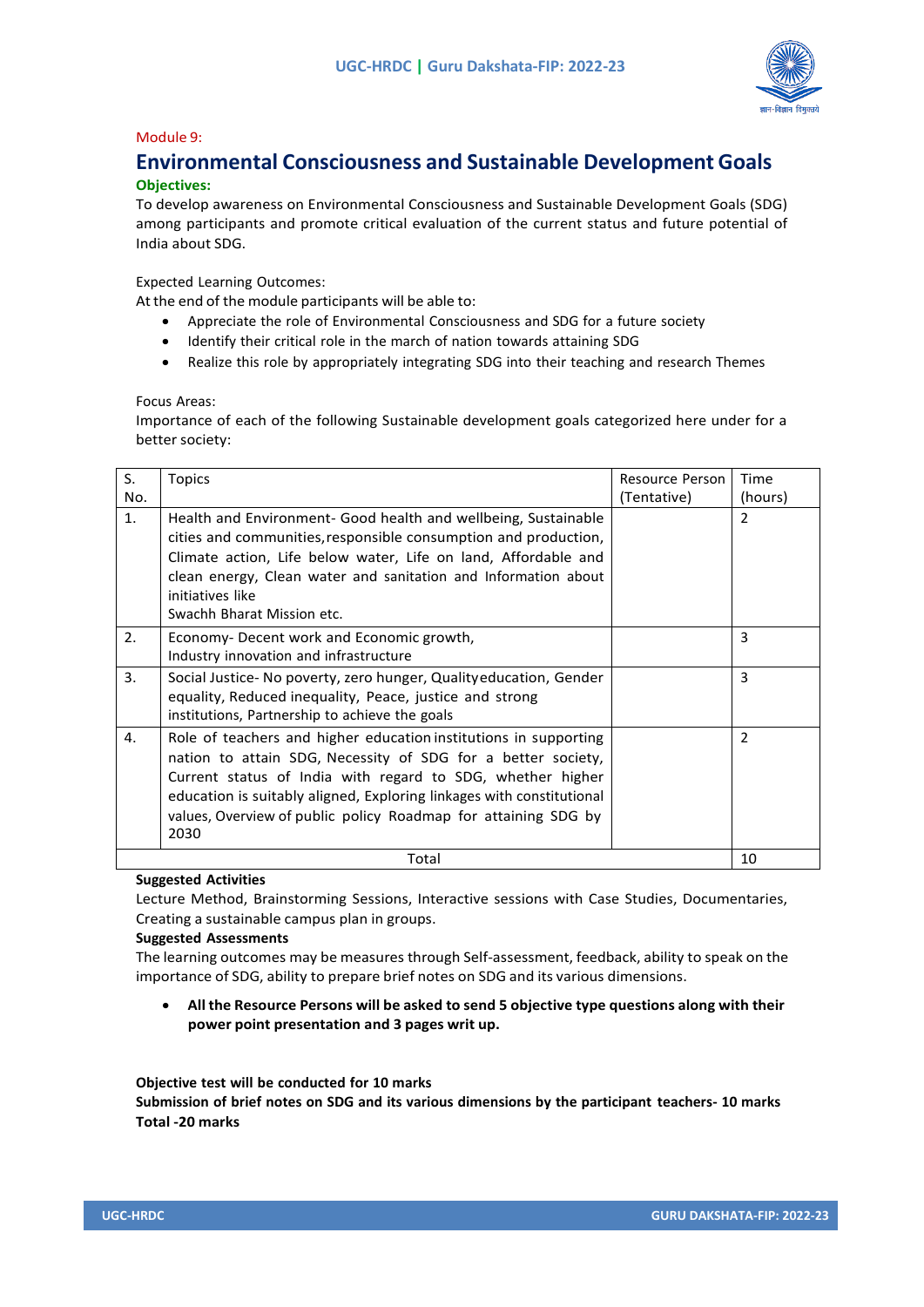

### Module 9:

### **Environmental Consciousness and Sustainable Development Goals Objectives:**

To develop awareness on Environmental Consciousness and Sustainable Development Goals (SDG) among participants and promote critical evaluation of the current status and future potential of India about SDG.

Expected Learning Outcomes:

At the end of the module participants will be able to:

- Appreciate the role of Environmental Consciousness and SDG for a future society
- Identify their critical role in the march of nation towards attaining SDG
- Realize this role by appropriately integrating SDG into their teaching and research Themes

Focus Areas:

Importance of each of the following Sustainable development goals categorized here under for a better society:

| S.  | <b>Topics</b>                                                                                                                                                                                                                                                                                                                                     | Resource Person | Time           |
|-----|---------------------------------------------------------------------------------------------------------------------------------------------------------------------------------------------------------------------------------------------------------------------------------------------------------------------------------------------------|-----------------|----------------|
| No. |                                                                                                                                                                                                                                                                                                                                                   | (Tentative)     | (hours)        |
| 1.  | Health and Environment- Good health and wellbeing, Sustainable<br>cities and communities, responsible consumption and production,<br>Climate action, Life below water, Life on land, Affordable and<br>clean energy, Clean water and sanitation and Information about<br>initiatives like<br>Swachh Bharat Mission etc.                           |                 | $\overline{2}$ |
| 2.  | Economy- Decent work and Economic growth,<br>Industry innovation and infrastructure                                                                                                                                                                                                                                                               |                 | 3              |
| 3.  | Social Justice- No poverty, zero hunger, Qualityeducation, Gender<br>equality, Reduced inequality, Peace, justice and strong<br>institutions, Partnership to achieve the goals                                                                                                                                                                    |                 | 3              |
| 4.  | Role of teachers and higher education institutions in supporting<br>nation to attain SDG, Necessity of SDG for a better society,<br>Current status of India with regard to SDG, whether higher<br>education is suitably aligned, Exploring linkages with constitutional<br>values, Overview of public policy Roadmap for attaining SDG by<br>2030 |                 | $\overline{2}$ |
|     | Total                                                                                                                                                                                                                                                                                                                                             |                 | 10             |

### **Suggested Activities**

Lecture Method, Brainstorming Sessions, Interactive sessions with Case Studies, Documentaries, Creating a sustainable campus plan in groups.

### **Suggested Assessments**

The learning outcomes may be measures through Self-assessment, feedback, ability to speak on the importance of SDG, ability to prepare brief notes on SDG and its various dimensions.

• **All the Resource Persons will be asked to send 5 objective type questions along with their power point presentation and 3 pages writ up.**

**Objective test will be conducted for 10 marks**

**Submission of brief notes on SDG and its various dimensions by the participant teachers- 10 marks Total -20 marks**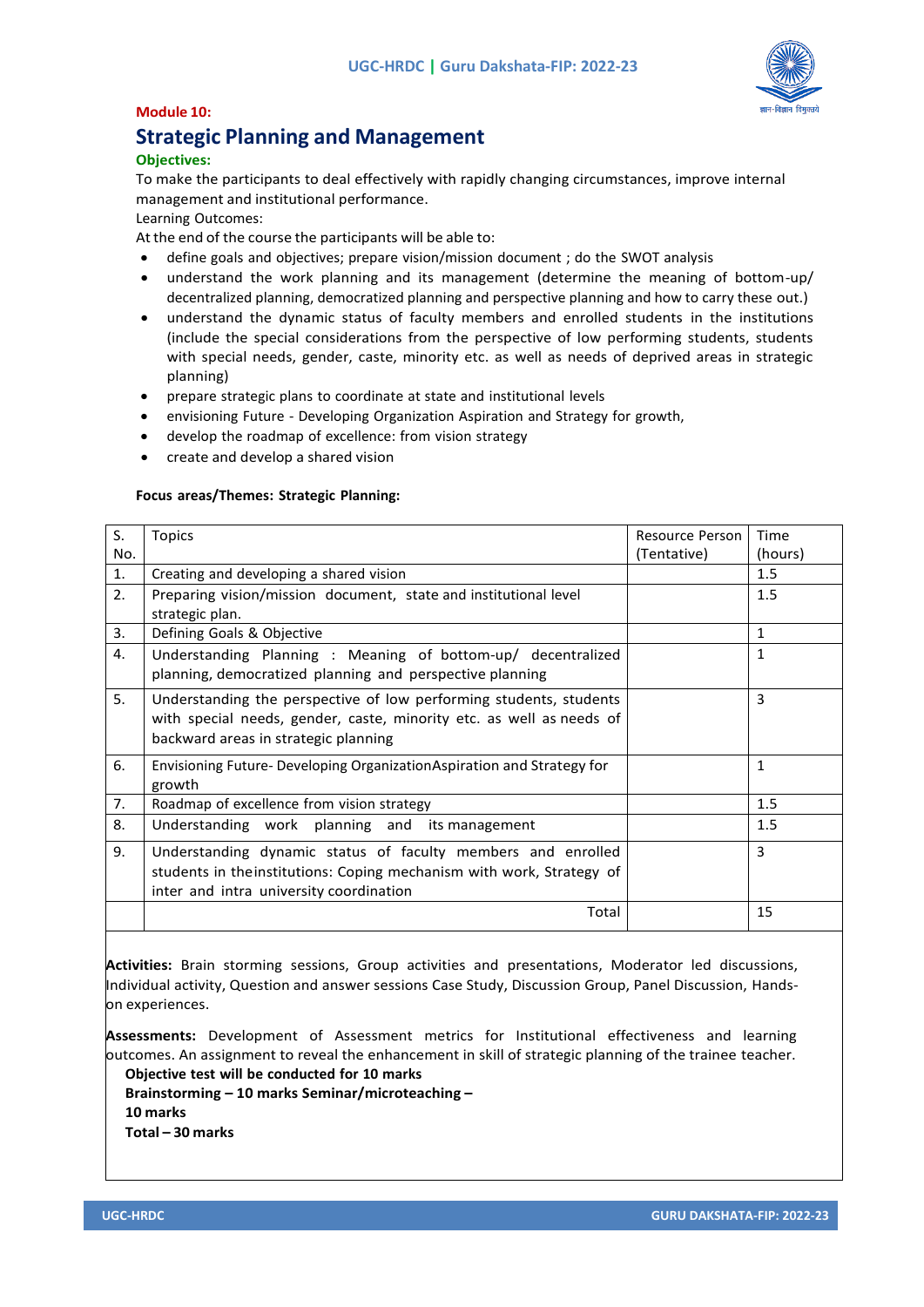

### **Module 10:**

### **Strategic Planning and Management**

### **Objectives:**

To make the participants to deal effectively with rapidly changing circumstances, improve internal management and institutional performance.

Learning Outcomes:

At the end of the course the participants will be able to:

- define goals and objectives; prepare vision/mission document ; do the SWOT analysis
- understand the work planning and its management (determine the meaning of bottom-up/ decentralized planning, democratized planning and perspective planning and how to carry these out.)
- understand the dynamic status of faculty members and enrolled students in the institutions (include the special considerations from the perspective of low performing students, students with special needs, gender, caste, minority etc. as well as needs of deprived areas in strategic planning)
- prepare strategic plans to coordinate at state and institutional levels
- envisioning Future Developing Organization Aspiration and Strategy for growth,
- develop the roadmap of excellence: from vision strategy
- create and develop a shared vision

### **Focus areas/Themes: Strategic Planning:**

| S.<br>No.      | <b>Topics</b>                                                                                                                                                                      | Resource Person<br>(Tentative) | Time<br>(hours) |
|----------------|------------------------------------------------------------------------------------------------------------------------------------------------------------------------------------|--------------------------------|-----------------|
| $\mathbf{1}$ . | Creating and developing a shared vision                                                                                                                                            |                                | 1.5             |
| 2.             | Preparing vision/mission document, state and institutional level<br>strategic plan.                                                                                                |                                | 1.5             |
| 3.             | Defining Goals & Objective                                                                                                                                                         |                                | $\mathbf{1}$    |
| 4.             | Understanding Planning : Meaning of bottom-up/ decentralized<br>planning, democratized planning and perspective planning                                                           |                                | $\mathbf{1}$    |
| 5.             | Understanding the perspective of low performing students, students<br>with special needs, gender, caste, minority etc. as well as needs of<br>backward areas in strategic planning |                                | 3               |
| 6.             | Envisioning Future-Developing Organization Aspiration and Strategy for<br>growth                                                                                                   |                                | $\mathbf{1}$    |
| 7.             | Roadmap of excellence from vision strategy                                                                                                                                         |                                | 1.5             |
| 8.             | Understanding work planning and its management                                                                                                                                     |                                | 1.5             |
| 9.             | Understanding dynamic status of faculty members and enrolled<br>students in theinstitutions: Coping mechanism with work, Strategy of<br>inter and intra university coordination    |                                | 3               |
|                | Total                                                                                                                                                                              |                                | 15              |

**Activities:** Brain storming sessions, Group activities and presentations, Moderator led discussions, Individual activity, Question and answer sessions Case Study, Discussion Group, Panel Discussion, Handson experiences.

**Assessments:** Development of Assessment metrics for Institutional effectiveness and learning outcomes. An assignment to reveal the enhancement in skill of strategic planning of the trainee teacher.

**Objective test will be conducted for 10 marks Brainstorming – 10 marks Seminar/microteaching – 10 marks Total – 30 marks**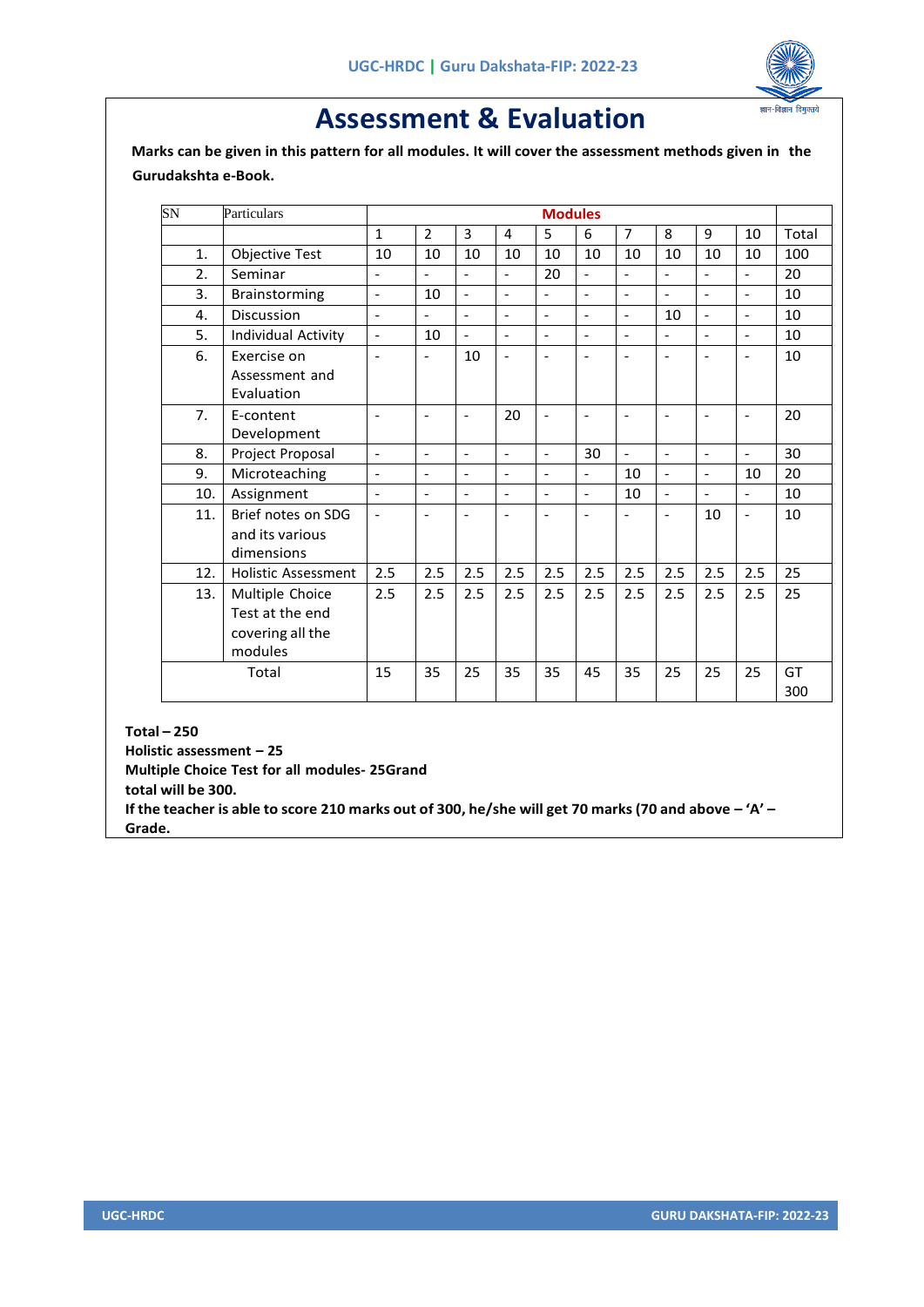

# **Assessment & Evaluation**

 **Marks can be given in this pattern for all modules. It will cover the assessment methods given in the Gurudakshta e-Book.**

| SN    | Particulars                   | <b>Modules</b>           |                          |                          |                          |                          |                          |                          |                              |                          |                              |       |
|-------|-------------------------------|--------------------------|--------------------------|--------------------------|--------------------------|--------------------------|--------------------------|--------------------------|------------------------------|--------------------------|------------------------------|-------|
|       |                               | $\mathbf{1}$             | $\overline{2}$           | 3                        | 4                        | 5                        | 6                        | $\overline{7}$           | 8                            | 9                        | 10                           | Total |
| 1.    | <b>Objective Test</b>         | 10                       | 10                       | 10                       | 10                       | 10                       | 10                       | 10                       | 10                           | 10                       | 10                           | 100   |
| 2.    | Seminar                       | $\blacksquare$           |                          | $\overline{\phantom{0}}$ | $\overline{\phantom{a}}$ | 20                       | $\overline{a}$           | $\overline{a}$           | $\overline{\phantom{a}}$     |                          | $\overline{a}$               | 20    |
| 3.    | Brainstorming                 | $\blacksquare$           | 10                       | $\overline{a}$           | $\overline{a}$           | $\overline{a}$           | $\overline{a}$           | $\overline{a}$           | $\overline{a}$               | $\overline{a}$           | $\overline{a}$               | 10    |
| 4.    | <b>Discussion</b>             | $\overline{\phantom{a}}$ | $\overline{\phantom{a}}$ | $\overline{a}$           | $\overline{\phantom{0}}$ | $\blacksquare$           | $\overline{a}$           | $\overline{a}$           | 10                           | $\overline{\phantom{a}}$ | $\overline{\phantom{a}}$     | 10    |
| 5.    | Individual Activity           | $\blacksquare$           | 10                       | $\overline{a}$           | $\overline{a}$           | $\overline{a}$           | $\overline{a}$           | $\overline{a}$           | $\overline{a}$               | $\overline{\phantom{a}}$ | $\overline{a}$               | 10    |
| 6.    | Exercise on                   | $\overline{\phantom{0}}$ | $\overline{\phantom{a}}$ | 10                       | $\overline{\phantom{a}}$ | $\overline{\phantom{a}}$ | $\overline{\phantom{a}}$ | $\overline{\phantom{a}}$ | $\qquad \qquad \blacksquare$ | $\overline{\phantom{a}}$ | $\qquad \qquad \blacksquare$ | 10    |
|       | Assessment and<br>Evaluation  |                          |                          |                          |                          |                          |                          |                          |                              |                          |                              |       |
| 7.    | E-content                     | $\overline{\phantom{a}}$ |                          |                          | 20                       |                          |                          |                          |                              | ۰                        |                              | 20    |
|       | Development                   |                          |                          |                          |                          |                          |                          |                          |                              |                          |                              |       |
| 8.    | Project Proposal              | $\overline{\phantom{a}}$ | $\overline{a}$           | $\overline{a}$           | $\overline{a}$           | $\overline{a}$           | 30                       | $\overline{a}$           | $\overline{a}$               | $\overline{a}$           | $\overline{a}$               | 30    |
| 9.    | Microteaching                 | $\blacksquare$           | $\blacksquare$           | $\overline{\phantom{0}}$ | $\overline{a}$           | $\overline{a}$           | $\overline{a}$           | 10                       | $\blacksquare$               | $\blacksquare$           | 10                           | 20    |
| 10.   | Assignment                    | $\overline{\phantom{a}}$ | $\overline{a}$           | $\overline{a}$           | $\overline{a}$           | $\overline{a}$           | $\overline{a}$           | 10                       | $\blacksquare$               | $\overline{\phantom{a}}$ | $\overline{a}$               | 10    |
| 11.   | Brief notes on SDG            | $\blacksquare$           | $\overline{\phantom{a}}$ |                          | L,                       |                          |                          |                          | $\overline{\phantom{a}}$     | 10                       | $\overline{\phantom{a}}$     | 10    |
|       | and its various<br>dimensions |                          |                          |                          |                          |                          |                          |                          |                              |                          |                              |       |
| 12.   | <b>Holistic Assessment</b>    | 2.5                      | 2.5                      | 2.5                      | 2.5                      | 2.5                      | 2.5                      | 2.5                      | 2.5                          | 2.5                      | 2.5                          | 25    |
| 13.   | Multiple Choice               | 2.5                      | 2.5                      | 2.5                      | 2.5                      | 2.5                      | 2.5                      | 2.5                      | 2.5                          | 2.5                      | 2.5                          | 25    |
|       | Test at the end               |                          |                          |                          |                          |                          |                          |                          |                              |                          |                              |       |
|       | covering all the              |                          |                          |                          |                          |                          |                          |                          |                              |                          |                              |       |
|       | modules                       |                          |                          |                          |                          |                          |                          |                          |                              |                          |                              |       |
| Total |                               | 15                       | 35                       | 25                       | 35                       | 35                       | 45                       | 35                       | 25                           | 25                       | 25                           | GT    |
|       |                               |                          |                          |                          |                          |                          |                          |                          |                              |                          |                              | 300   |

### **Total – 250**

**Holistic assessment – 25 Multiple Choice Test for all modules- 25Grand total will be 300.** If the teacher is able to score 210 marks out of 300, he/she will get 70 marks (70 and above  $-44'$  -**Grade.**